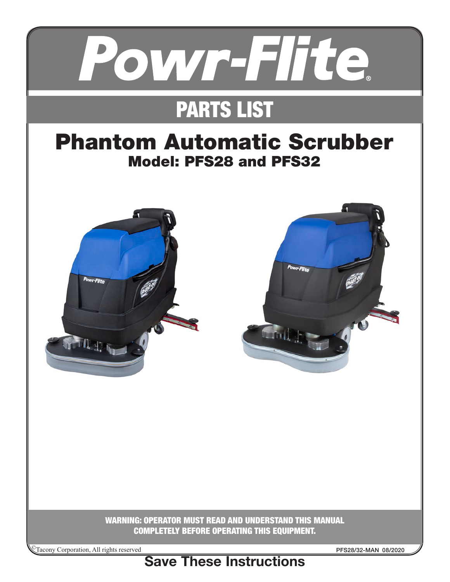

# PARTS LIST

# Phantom Automatic Scrubber Model: PFS28 and PFS32





WARNING: OPERATOR MUST READ AND UNDERSTAND THIS MANUAL COMPLETELY BEFORE OPERATING THIS EQUIPMENT.

©Tacony Corporation, All rights reserved

PFS28/32-MAN 08/2020

Save These Instructions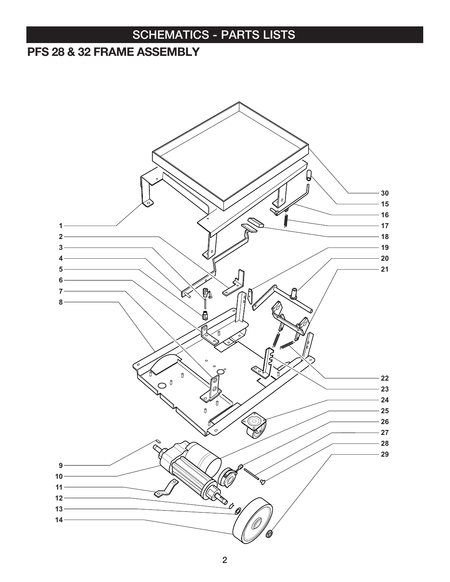#### PFS 28 & 32 FRAME ASSEMBLY

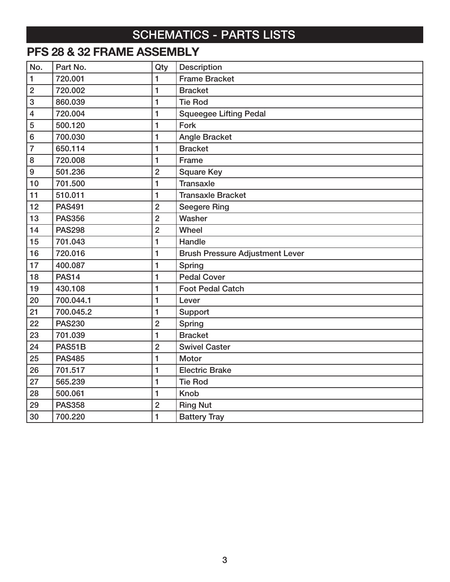## PFS 28 & 32 FRAME ASSEMBLY

| No.                     | Part No.      | Qty            | Description                            |
|-------------------------|---------------|----------------|----------------------------------------|
| $\mathbf{1}$            | 720.001       | $\blacksquare$ | <b>Frame Bracket</b>                   |
| $\overline{2}$          | 720.002       | $\mathbf{1}$   | <b>Bracket</b>                         |
| 3                       | 860.039       | $\mathbf{1}$   | <b>Tie Rod</b>                         |
| $\overline{\mathbf{4}}$ | 720.004       | $\mathbf{1}$   | <b>Squeegee Lifting Pedal</b>          |
| 5                       | 500.120       | 1              | Fork                                   |
| 6                       | 700.030       | 1              | <b>Angle Bracket</b>                   |
| $\overline{7}$          | 650.114       | $\mathbf{1}$   | <b>Bracket</b>                         |
| 8                       | 720.008       | 1              | Frame                                  |
| 9                       | 501.236       | $\overline{2}$ | <b>Square Key</b>                      |
| 10                      | 701.500       | 1              | <b>Transaxle</b>                       |
| 11                      | 510.011       | 1              | <b>Transaxle Bracket</b>               |
| 12                      | <b>PAS491</b> | $\overline{2}$ | <b>Seegere Ring</b>                    |
| 13                      | <b>PAS356</b> | $\overline{2}$ | Washer                                 |
| 14                      | <b>PAS298</b> | $\overline{2}$ | Wheel                                  |
| 15                      | 701.043       | 1              | Handle                                 |
| 16                      | 720.016       | $\mathbf{1}$   | <b>Brush Pressure Adjustment Lever</b> |
| 17                      | 400.087       | 1              | Spring                                 |
| 18                      | <b>PAS14</b>  | $\blacksquare$ | <b>Pedal Cover</b>                     |
| 19                      | 430.108       | $\mathbf{1}$   | <b>Foot Pedal Catch</b>                |
| 20                      | 700.044.1     | 1              | Lever                                  |
| 21                      | 700.045.2     | $\mathbf{1}$   | Support                                |
| 22                      | <b>PAS230</b> | $\overline{2}$ | Spring                                 |
| 23                      | 701.039       | $\mathbf{1}$   | <b>Bracket</b>                         |
| 24                      | PAS51B        | $\overline{2}$ | <b>Swivel Caster</b>                   |
| 25                      | <b>PAS485</b> | $\blacksquare$ | Motor                                  |
| 26                      | 701.517       | $\mathbf{1}$   | <b>Electric Brake</b>                  |
| 27                      | 565.239       | $\mathbf{1}$   | <b>Tie Rod</b>                         |
| 28                      | 500.061       | 1              | <b>Knob</b>                            |
| 29                      | <b>PAS358</b> | $\overline{2}$ | <b>Ring Nut</b>                        |
| 30                      | 700.220       | 1              | <b>Battery Tray</b>                    |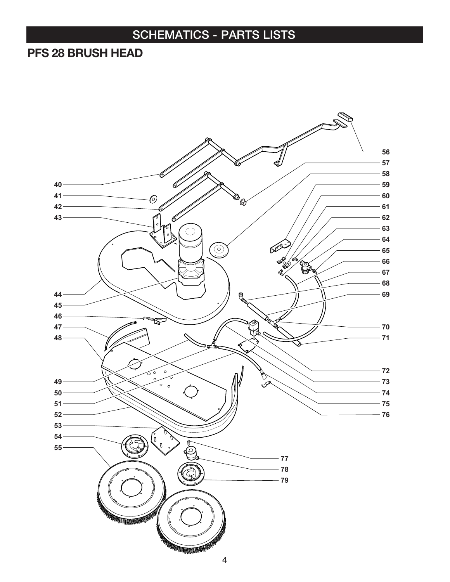#### PFS 28 BRUSH HEAD

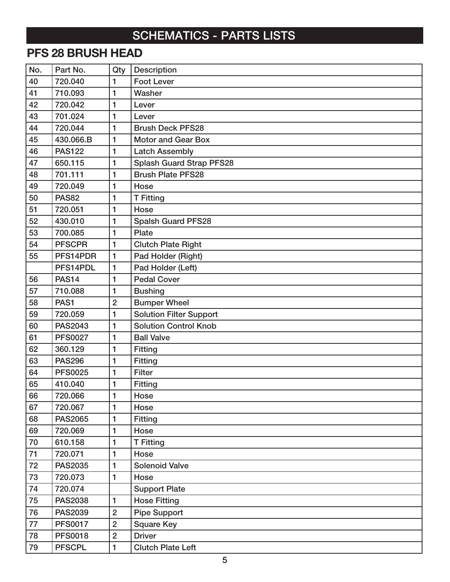#### PFS 28 BRUSH HEAD

| No. | Part No.       | Qty            | <b>Description</b>              |
|-----|----------------|----------------|---------------------------------|
| 40  | 720.040        | 1              | <b>Foot Lever</b>               |
| 41  | 710.093        | 1              | Washer                          |
| 42  | 720.042        | 1              | Lever                           |
| 43  | 701.024        | 1              | Lever                           |
| 44  | 720.044        | 1              | <b>Brush Deck PFS28</b>         |
| 45  | 430.066.B      | 1              | <b>Motor and Gear Box</b>       |
| 46  | <b>PAS122</b>  | 1              | <b>Latch Assembly</b>           |
| 47  | 650.115        | 1              | <b>Splash Guard Strap PFS28</b> |
| 48  | 701.111        | 1              | <b>Brush Plate PFS28</b>        |
| 49  | 720.049        | 1              | Hose                            |
| 50  | <b>PAS82</b>   | 1              | <b>T</b> Fitting                |
| 51  | 720.051        | 1              | Hose                            |
| 52  | 430.010        | 1              | <b>Spalsh Guard PFS28</b>       |
| 53  | 700.085        | 1              | Plate                           |
| 54  | <b>PFSCPR</b>  | 1              | <b>Clutch Plate Right</b>       |
| 55  | PFS14PDR       | 1              | Pad Holder (Right)              |
|     | PFS14PDL       | 1              | Pad Holder (Left)               |
| 56  | <b>PAS14</b>   | 1              | <b>Pedal Cover</b>              |
| 57  | 710.088        | 1              | <b>Bushing</b>                  |
| 58  | PAS1           | $\overline{2}$ | <b>Bumper Wheel</b>             |
| 59  | 720.059        | 1              | <b>Solution Filter Support</b>  |
| 60  | <b>PAS2043</b> | 1              | <b>Solution Control Knob</b>    |
| 61  | <b>PFS0027</b> | 1              | <b>Ball Valve</b>               |
| 62  | 360.129        | 1              | <b>Fitting</b>                  |
| 63  | <b>PAS296</b>  | 1              | Fitting                         |
| 64  | <b>PFS0025</b> | 1              | <b>Filter</b>                   |
| 65  | 410.040        | 1              | <b>Fitting</b>                  |
| 66  | 720.066        | 1              | Hose                            |
| 67  | 720.067        | 1              | Hose                            |
| 68  | <b>PAS2065</b> | 1              | <b>Fitting</b>                  |
| 69  | 720.069        | 1              | Hose                            |
| 70  | 610.158        | 1              | <b>T</b> Fitting                |
| 71  | 720.071        | 1              | Hose                            |
| 72  | <b>PAS2035</b> | 1              | <b>Solenoid Valve</b>           |
| 73  | 720.073        | 1              | Hose                            |
| 74  | 720.074        |                | <b>Support Plate</b>            |
| 75  | <b>PAS2038</b> | 1              | <b>Hose Fitting</b>             |
| 76  | <b>PAS2039</b> | $\overline{2}$ | <b>Pipe Support</b>             |
| 77  | <b>PFS0017</b> | $\overline{2}$ | <b>Square Key</b>               |
| 78  | <b>PFS0018</b> | $\overline{2}$ | <b>Driver</b>                   |
| 79  | <b>PFSCPL</b>  | 1              | <b>Clutch Plate Left</b>        |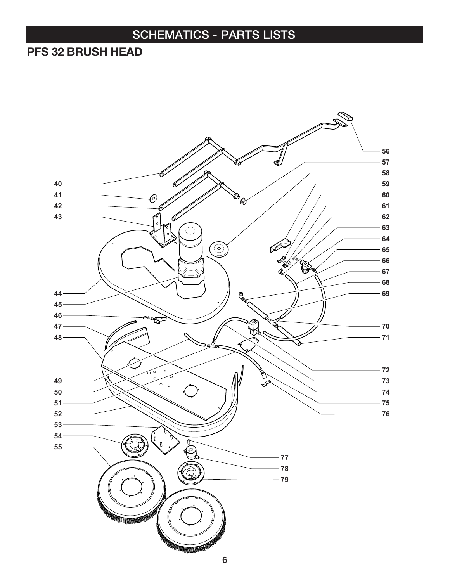#### PFS 32 BRUSH HEAD

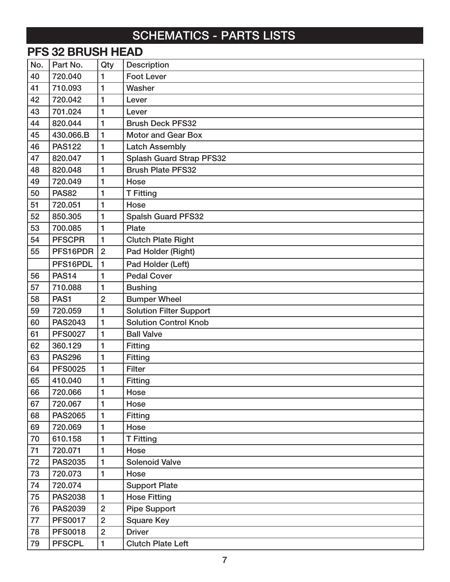|     | <b>PFS 32 BRUSH HEAD</b> |                |                                 |  |  |
|-----|--------------------------|----------------|---------------------------------|--|--|
| No. | Part No.                 | Qty            | <b>Description</b>              |  |  |
| 40  | 720.040                  | 1              | <b>Foot Lever</b>               |  |  |
| 41  | 710.093                  | 1              | Washer                          |  |  |
| 42  | 720.042                  | 1              | Lever                           |  |  |
| 43  | 701.024                  | 1              | Lever                           |  |  |
| 44  | 820.044                  | 1              | <b>Brush Deck PFS32</b>         |  |  |
| 45  | 430.066.B                | 1              | <b>Motor and Gear Box</b>       |  |  |
| 46  | <b>PAS122</b>            | 1              | <b>Latch Assembly</b>           |  |  |
| 47  | 820.047                  | 1              | <b>Splash Guard Strap PFS32</b> |  |  |
| 48  | 820.048                  | 1              | <b>Brush Plate PFS32</b>        |  |  |
| 49  | 720.049                  | 1              | Hose                            |  |  |
| 50  | <b>PAS82</b>             | 1              | <b>T</b> Fitting                |  |  |
| 51  | 720.051                  | 1              | Hose                            |  |  |
| 52  | 850.305                  | 1              | <b>Spalsh Guard PFS32</b>       |  |  |
| 53  | 700.085                  | 1              | Plate                           |  |  |
| 54  | <b>PFSCPR</b>            | $\mathbf{1}$   | <b>Clutch Plate Right</b>       |  |  |
| 55  | PFS16PDR                 | $\overline{2}$ | Pad Holder (Right)              |  |  |
|     | PFS16PDL                 | 1              | Pad Holder (Left)               |  |  |
| 56  | <b>PAS14</b>             | 1              | <b>Pedal Cover</b>              |  |  |
| 57  | 710.088                  | 1              | <b>Bushing</b>                  |  |  |
| 58  | PAS <sub>1</sub>         | $\overline{2}$ | <b>Bumper Wheel</b>             |  |  |
| 59  | 720.059                  | 1              | <b>Solution Filter Support</b>  |  |  |
| 60  | <b>PAS2043</b>           | $\mathbf{1}$   | <b>Solution Control Knob</b>    |  |  |
| 61  | <b>PFS0027</b>           | 1              | <b>Ball Valve</b>               |  |  |
| 62  | 360.129                  | 1              | <b>Fitting</b>                  |  |  |
| 63  | <b>PAS296</b>            | 1              | <b>Fitting</b>                  |  |  |
| 64  | <b>PFS0025</b>           | 1              | <b>Filter</b>                   |  |  |
| 65  | 410.040                  | 1              | <b>Fitting</b>                  |  |  |
| 66  | 720.066                  | 1              | Hose                            |  |  |
| 67  | 720.067                  | 1              | Hose                            |  |  |
| 68  | <b>PAS2065</b>           | 1              | <b>Fitting</b>                  |  |  |
| 69  | 720.069                  | 1              | Hose                            |  |  |
| 70  | 610.158                  | 1              | <b>T</b> Fitting                |  |  |
| 71  | 720.071                  | 1              | Hose                            |  |  |
| 72  | <b>PAS2035</b>           | 1              | <b>Solenoid Valve</b>           |  |  |
| 73  | 720.073                  | 1              | Hose                            |  |  |
| 74  | 720.074                  |                | <b>Support Plate</b>            |  |  |
| 75  | <b>PAS2038</b>           | $\mathbf{1}$   | <b>Hose Fitting</b>             |  |  |
| 76  | <b>PAS2039</b>           | $\overline{2}$ | <b>Pipe Support</b>             |  |  |
| 77  | <b>PFS0017</b>           | $\overline{2}$ | <b>Square Key</b>               |  |  |
| 78  | <b>PFS0018</b>           | $\overline{2}$ | <b>Driver</b>                   |  |  |
| 79  | <b>PFSCPL</b>            | $\mathbf{1}$   | <b>Clutch Plate Left</b>        |  |  |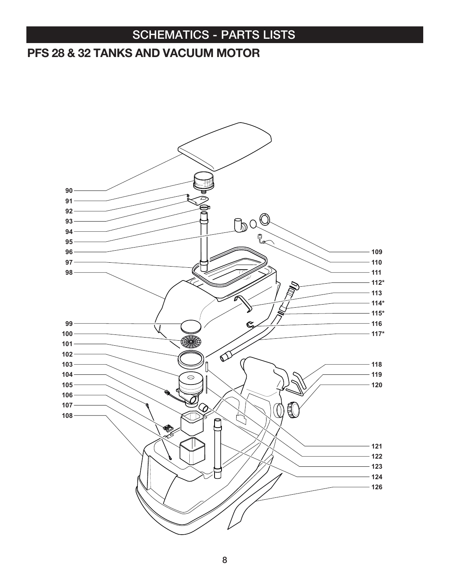#### PFS 28 & 32 TANKS AND VACUUM MOTOR

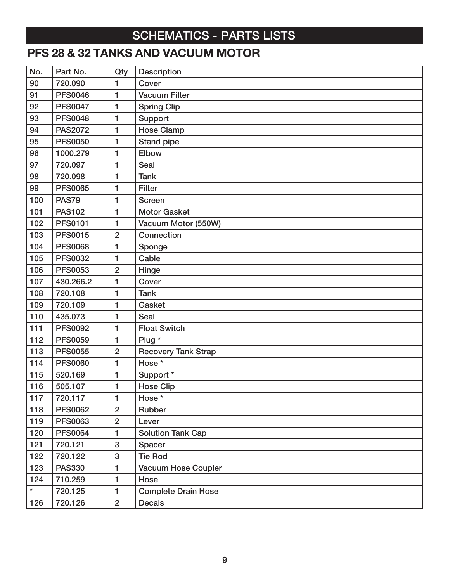## PFS 28 & 32 TANKS AND VACUUM MOTOR

| No.     | Part No.       | Qty            | <b>Description</b>         |
|---------|----------------|----------------|----------------------------|
| 90      | 720.090        | 1              | Cover                      |
| 91      | <b>PFS0046</b> | 1              | <b>Vacuum Filter</b>       |
| 92      | <b>PFS0047</b> | 1              | <b>Spring Clip</b>         |
| 93      | <b>PFS0048</b> | 1              | Support                    |
| 94      | <b>PAS2072</b> | 1              | <b>Hose Clamp</b>          |
| 95      | <b>PFS0050</b> | 1              | Stand pipe                 |
| 96      | 1000.279       | 1              | Elbow                      |
| 97      | 720.097        | 1              | <b>Seal</b>                |
| 98      | 720.098        | 1              | <b>Tank</b>                |
| 99      | <b>PFS0065</b> | 1              | <b>Filter</b>              |
| 100     | <b>PAS79</b>   | 1              | <b>Screen</b>              |
| 101     | <b>PAS102</b>  | 1              | <b>Motor Gasket</b>        |
| 102     | <b>PFS0101</b> | 1              | Vacuum Motor (550W)        |
| 103     | <b>PFS0015</b> | $\overline{2}$ | Connection                 |
| 104     | <b>PFS0068</b> | 1              | Sponge                     |
| 105     | <b>PFS0032</b> | 1              | Cable                      |
| 106     | <b>PFS0053</b> | $\overline{2}$ | Hinge                      |
| 107     | 430.266.2      | 1              | Cover                      |
| 108     | 720.108        | 1              | <b>Tank</b>                |
| 109     | 720.109        | 1              | Gasket                     |
| 110     | 435.073        | 1              | <b>Seal</b>                |
| 111     | <b>PFS0092</b> | 1              | <b>Float Switch</b>        |
| 112     | <b>PFS0059</b> | 1              | Plug *                     |
| 113     | <b>PFS0055</b> | $\overline{2}$ | <b>Recovery Tank Strap</b> |
| 114     | <b>PFS0060</b> | 1              | Hose *                     |
| 115     | 520.169        | 1              | Support <sup>*</sup>       |
| 116     | 505.107        | 1              | <b>Hose Clip</b>           |
| 117     | 720.117        | 1              | Hose *                     |
| 118     | <b>PFS0062</b> | $\overline{2}$ | Rubber                     |
| 119     | <b>PFS0063</b> | $\overline{2}$ | Lever                      |
| 120     | <b>PFS0064</b> | $\mathbf{1}$   | <b>Solution Tank Cap</b>   |
| 121     | 720.121        | 3              | Spacer                     |
| 122     | 720.122        | 3              | <b>Tie Rod</b>             |
| 123     | <b>PAS330</b>  | 1              | <b>Vacuum Hose Coupler</b> |
| 124     | 710.259        | 1              | Hose                       |
| $\star$ | 720.125        | $\mathbf{1}$   | <b>Complete Drain Hose</b> |
| 126     | 720.126        | $\overline{2}$ | <b>Decals</b>              |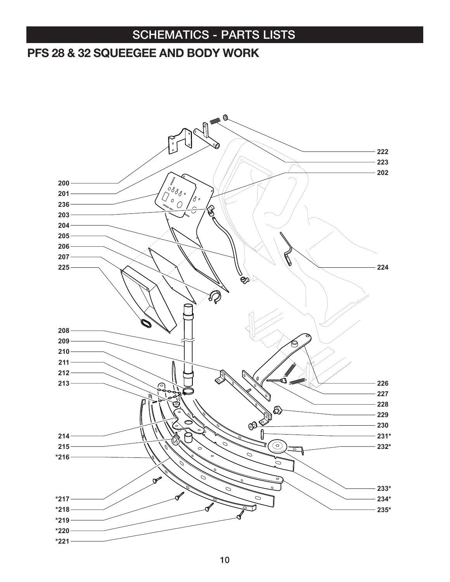#### PFS 28 & 32 SQUEEGEE AND BODY WORK

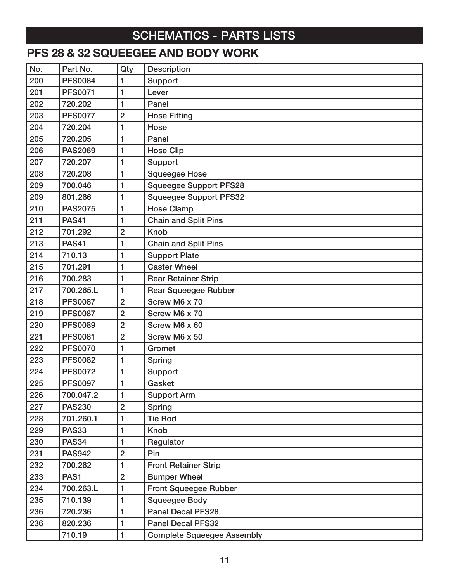#### PFS 28 & 32 SQUEEGEE AND BODY WORK

| No. | Part No.       | Qty            | <b>Description</b>                |  |
|-----|----------------|----------------|-----------------------------------|--|
| 200 | <b>PFS0084</b> | 1              | Support                           |  |
| 201 | <b>PFS0071</b> | 1              | Lever                             |  |
| 202 | 720.202        | 1              | Panel                             |  |
| 203 | <b>PFS0077</b> | $\overline{2}$ | <b>Hose Fitting</b>               |  |
| 204 | 720.204        | 1              | Hose                              |  |
| 205 | 720.205        | 1              | Panel                             |  |
| 206 | <b>PAS2069</b> | 1              | <b>Hose Clip</b>                  |  |
| 207 | 720.207        | 1              | Support                           |  |
| 208 | 720.208        | 1              | <b>Squeegee Hose</b>              |  |
| 209 | 700.046        | 1              | <b>Squeegee Support PFS28</b>     |  |
| 209 | 801.266        | 1              | <b>Squeegee Support PFS32</b>     |  |
| 210 | <b>PAS2075</b> | 1              | <b>Hose Clamp</b>                 |  |
| 211 | <b>PAS41</b>   | 1              | <b>Chain and Split Pins</b>       |  |
| 212 | 701.292        | $\overline{2}$ | <b>Knob</b>                       |  |
| 213 | <b>PAS41</b>   | 1              | <b>Chain and Split Pins</b>       |  |
| 214 | 710.13         | 1              | <b>Support Plate</b>              |  |
| 215 | 701.291        | 1              | <b>Caster Wheel</b>               |  |
| 216 | 700.283        | 1              | <b>Rear Retainer Strip</b>        |  |
| 217 | 700.265.L      | 1              | <b>Rear Squeegee Rubber</b>       |  |
| 218 | <b>PFS0087</b> | $\overline{2}$ | Screw M6 x 70                     |  |
| 219 | <b>PFS0087</b> | $\overline{2}$ | Screw M6 x 70                     |  |
| 220 | <b>PFS0089</b> | $\overline{2}$ | Screw M6 x 60                     |  |
| 221 | <b>PFS0081</b> | $\overline{2}$ | Screw M6 x 50                     |  |
| 222 | <b>PFS0070</b> | 1              | Gromet                            |  |
| 223 | <b>PFS0082</b> | 1              | <b>Spring</b>                     |  |
| 224 | <b>PFS0072</b> | 1              | Support                           |  |
| 225 | <b>PFS0097</b> | 1              | Gasket                            |  |
| 226 | 700.047.2      | 1              | <b>Support Arm</b>                |  |
| 227 | <b>PAS230</b>  | $\overline{2}$ | <b>Spring</b>                     |  |
| 228 | 701.260.1      | 1              | <b>Tie Rod</b>                    |  |
| 229 | <b>PAS33</b>   | 1              | <b>Knob</b>                       |  |
| 230 | <b>PAS34</b>   | 1              | Regulator                         |  |
| 231 | <b>PAS942</b>  | $\overline{2}$ | Pin                               |  |
| 232 | 700.262        | 1              | <b>Front Retainer Strip</b>       |  |
| 233 | PAS1           | $\overline{2}$ | <b>Bumper Wheel</b>               |  |
| 234 | 700.263.L      | 1              | <b>Front Squeegee Rubber</b>      |  |
| 235 | 710.139        | 1              | <b>Squeegee Body</b>              |  |
| 236 | 720.236        | 1              | <b>Panel Decal PFS28</b>          |  |
| 236 | 820.236        | 1              | <b>Panel Decal PFS32</b>          |  |
|     | 710.19         | 1              | <b>Complete Squeegee Assembly</b> |  |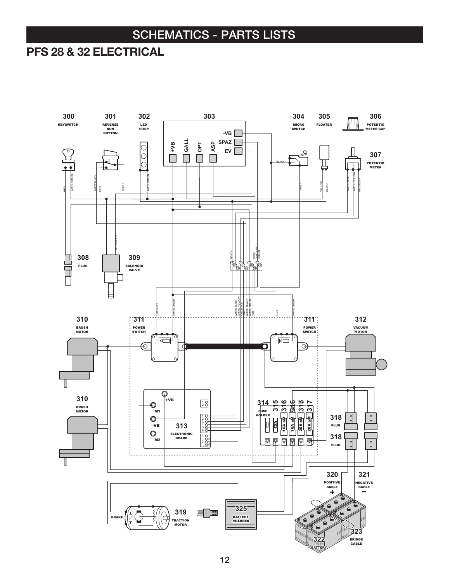#### PFS 28 & 32 ELECTRICAL

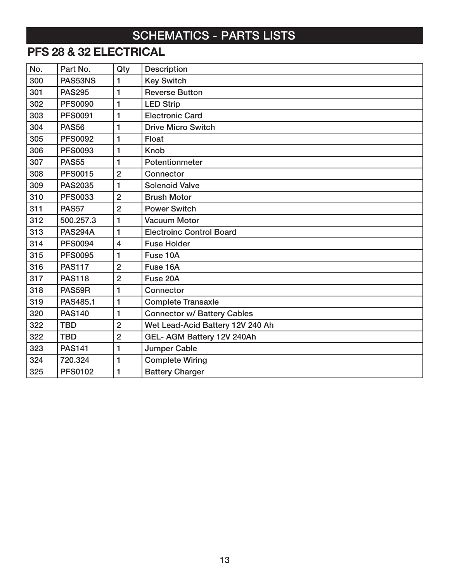# PFS 28 & 32 ELECTRICAL

| No. | Part No.       | Qty            | <b>Description</b>                 |
|-----|----------------|----------------|------------------------------------|
| 300 | PAS53NS        | 1              | <b>Key Switch</b>                  |
| 301 | <b>PAS295</b>  | $\mathbf{1}$   | <b>Reverse Button</b>              |
| 302 | <b>PFS0090</b> | 1              | <b>LED Strip</b>                   |
| 303 | <b>PFS0091</b> | 1              | <b>Electronic Card</b>             |
| 304 | <b>PAS56</b>   | $\mathbf{1}$   | <b>Drive Micro Switch</b>          |
| 305 | <b>PFS0092</b> | $\mathbf{1}$   | Float                              |
| 306 | <b>PFS0093</b> | 1              | <b>Knob</b>                        |
| 307 | <b>PAS55</b>   | 1              | Potentionmeter                     |
| 308 | <b>PFS0015</b> | $\overline{2}$ | Connector                          |
| 309 | <b>PAS2035</b> | 1              | <b>Solenoid Valve</b>              |
| 310 | <b>PFS0033</b> | $\overline{2}$ | <b>Brush Motor</b>                 |
| 311 | <b>PAS57</b>   | $\overline{2}$ | <b>Power Switch</b>                |
| 312 | 500.257.3      | 1              | <b>Vacuum Motor</b>                |
| 313 | <b>PAS294A</b> | $\mathbf{1}$   | <b>Electroinc Control Board</b>    |
| 314 | <b>PFS0094</b> | $\overline{4}$ | <b>Fuse Holder</b>                 |
| 315 | <b>PFS0095</b> | 1              | Fuse 10A                           |
| 316 | <b>PAS117</b>  | $\overline{2}$ | Fuse 16A                           |
| 317 | <b>PAS118</b>  | $\overline{2}$ | Fuse 20A                           |
| 318 | PAS59R         | 1              | Connector                          |
| 319 | PAS485.1       | 1              | <b>Complete Transaxle</b>          |
| 320 | <b>PAS140</b>  | 1              | <b>Connector w/ Battery Cables</b> |
| 322 | <b>TBD</b>     | $\overline{2}$ | Wet Lead-Acid Battery 12V 240 Ah   |
| 322 | <b>TBD</b>     | $\overline{2}$ | GEL- AGM Battery 12V 240Ah         |
| 323 | <b>PAS141</b>  | 1              | <b>Jumper Cable</b>                |
| 324 | 720.324        | 1              | <b>Complete Wiring</b>             |
| 325 | <b>PFS0102</b> | $\mathbf{1}$   | <b>Battery Charger</b>             |